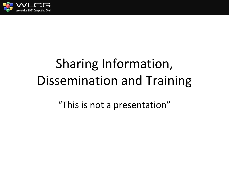

## Sharing Information, Dissemination and Training

"This is not a presentation"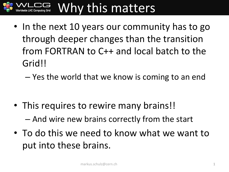

• In the next 10 years our community has to go through deeper changes than the transition from FORTRAN to C++ and local batch to the Grid!!

– Yes the world that we know is coming to an end

- This requires to rewire many brains!! – And wire new brains correctly from the start
- To do this we need to know what we want to put into these brains.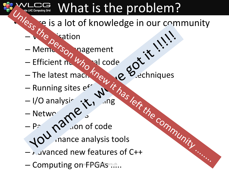## What is the problem?

- **Fig.** se is a lot of knowledge in our community
	- $-\sqrt{2}$ ection
	- Memory South magement
	- Efficient nu $\mathscr{U}_{\beta}$  al code
	- The latest machine learning techniques
	- Running sites  $e^{f}$  and  $\langle i \rangle$
	- I/O analysis and tung
	- Netwo $\mathcal{C}$
	- $-P^2$   $\theta^0$  on of code
	- $\sqrt{10}$  nance analysis tools
	- $-$  Advanced new features of C++
	- Computing om FPGAs .....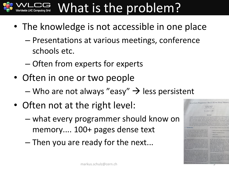## What is the problem?

- The knowledge is not accessible in one place
	- Presentations at various meetings, conference schools etc.
	- Often from experts for experts
- Often in one or two people
	- Who are not always "easy"  $\rightarrow$  less persistent
- Often not at the right level:
	- what every programmer should know on memory.... 100+ pages dense text
	- Then you are ready for the next...

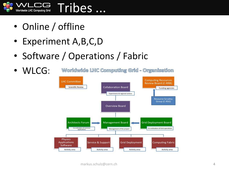

- Online / offline
- Experiment A,B,C,D
- Software / Operations / Fabric

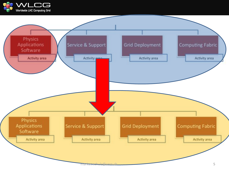

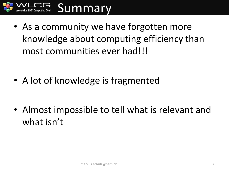

• As a community we have forgotten more knowledge about computing efficiency than most communities ever had!!!

• A lot of knowledge is fragmented

• Almost impossible to tell what is relevant and what isn't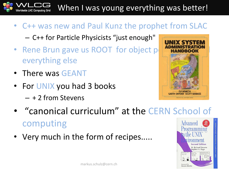When I was young everything was better!

- C++ was new and Paul Kunz the prophet from SLAC – C++ for Particle Physicists "just enough"
- Rene Brun gave us ROOT for object p everything else
- There was GEANT

**Worldwide LHC Computing Grid** 

• For UNIX you had 3 books – + 2 from Stevens



- "canonical curriculum" at the CERN School of computing **Advanced**
- Very much in the form of recipes.....

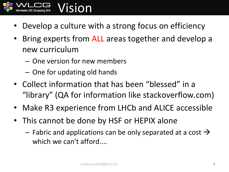

- Develop a culture with a strong focus on efficiency
- Bring experts from ALL areas together and develop a new curriculum
	- One version for new members
	- One for updating old hands
- Collect information that has been "blessed" in a "library" (QA for information like stackoverflow.com)
- Make R3 experience from LHCb and ALICE accessible
- This cannot be done by HSF or HEPIX alone
	- $-$  Fabric and applications can be only separated at a cost  $\rightarrow$ which we can't afford....